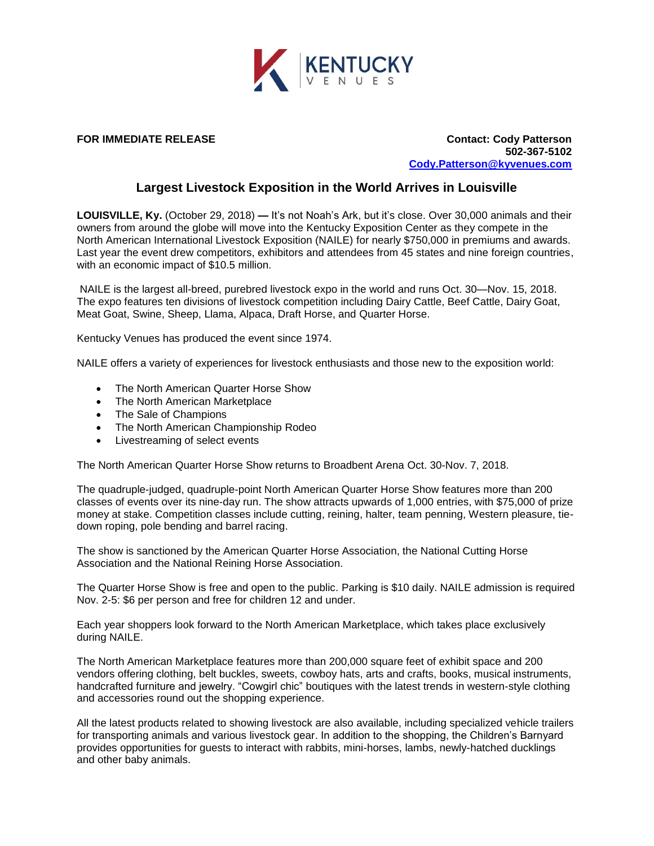

**FOR IMMEDIATE RELEASE Contact: Cody Patterson 502-367-5102 [Cody.Patterson@kyvenues.com](mailto:Cody.Patterson@kyvenues.com)**

## **Largest Livestock Exposition in the World Arrives in Louisville**

**LOUISVILLE, Ky.** (October 29, 2018) **—** It's not Noah's Ark, but it's close. Over 30,000 animals and their owners from around the globe will move into the Kentucky Exposition Center as they compete in the North American International Livestock Exposition (NAILE) for nearly \$750,000 in premiums and awards. Last year the event drew competitors, exhibitors and attendees from 45 states and nine foreign countries, with an economic impact of \$10.5 million.

NAILE is the largest all-breed, purebred livestock expo in the world and runs Oct. 30—Nov. 15, 2018. The expo features ten divisions of livestock competition including Dairy Cattle, Beef Cattle, Dairy Goat, Meat Goat, Swine, Sheep, Llama, Alpaca, Draft Horse, and Quarter Horse.

Kentucky Venues has produced the event since 1974.

NAILE offers a variety of experiences for livestock enthusiasts and those new to the exposition world:

- The North American Quarter Horse Show
- The North American Marketplace
- The Sale of Champions
- The North American Championship Rodeo
- Livestreaming of select events

The North American Quarter Horse Show returns to Broadbent Arena Oct. 30-Nov. 7, 2018.

The quadruple-judged, quadruple-point North American Quarter Horse Show features more than 200 classes of events over its nine-day run. The show attracts upwards of 1,000 entries, with \$75,000 of prize money at stake. Competition classes include cutting, reining, halter, team penning, Western pleasure, tiedown roping, pole bending and barrel racing.

The show is sanctioned by the American Quarter Horse Association, the National Cutting Horse Association and the National Reining Horse Association.

The Quarter Horse Show is free and open to the public. Parking is \$10 daily. NAILE admission is required Nov. 2-5: \$6 per person and free for children 12 and under.

Each year shoppers look forward to the North American Marketplace, which takes place exclusively during NAILE.

The North American Marketplace features more than 200,000 square feet of exhibit space and 200 vendors offering clothing, belt buckles, sweets, cowboy hats, arts and crafts, books, musical instruments, handcrafted furniture and jewelry. "Cowgirl chic" boutiques with the latest trends in western-style clothing and accessories round out the shopping experience.

All the latest products related to showing livestock are also available, including specialized vehicle trailers for transporting animals and various livestock gear. In addition to the shopping, the Children's Barnyard provides opportunities for guests to interact with rabbits, mini-horses, lambs, newly-hatched ducklings and other baby animals.